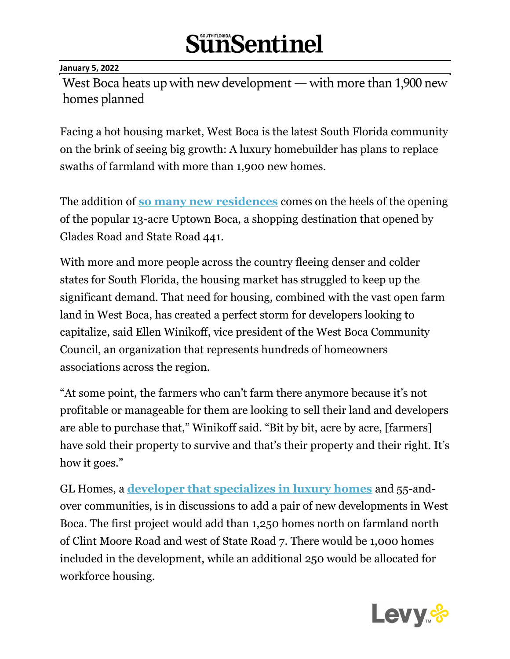#### **January 5, 2022**

West Boca heats up with new development - with more than 1,900 new homes planned

Facing a hot housing market, West Boca is the latest South Florida community on the brink of seeing big growth: A luxury homebuilder has plans to replace swaths of farmland with more than 1,900 new homes.

The addition of **[so many new residences](https://www.sun-sentinel.com/local/palm-beach/fl-ne-pbc-gl-homes-20211214-fq2crr3fovdflp43znrf642dtu-story.html)** comes on the heels of the opening of the popular 13-acre Uptown Boca, a shopping destination that opened by Glades Road and State Road 441.

With more and more people across the country fleeing denser and colder states for South Florida, the housing market has struggled to keep up the significant demand. That need for housing, combined with the vast open farm land in West Boca, has created a perfect storm for developers looking to capitalize, said Ellen Winikoff, vice president of the West Boca Community Council, an organization that represents hundreds of homeowners associations across the region.

"At some point, the farmers who can't farm there anymore because it's not profitable or manageable for them are looking to sell their land and developers are able to purchase that," Winikoff said. "Bit by bit, acre by acre, [farmers] have sold their property to survive and that's their property and their right. It's how it goes."

GL Homes, a **[developer that specializes in luxury homes](https://www.sun-sentinel.com/local/palm-beach/fl-ne-1000-homes-boom-ss-prem-20210404-bilrx3quofcvjdgo6d5epmjf2y-story.html)** and 55-andover communities, is in discussions to add a pair of new developments in West Boca. The first project would add than 1,250 homes north on farmland north of Clint Moore Road and west of State Road 7. There would be 1,000 homes included in the development, while an additional 250 would be allocated for workforce housing.

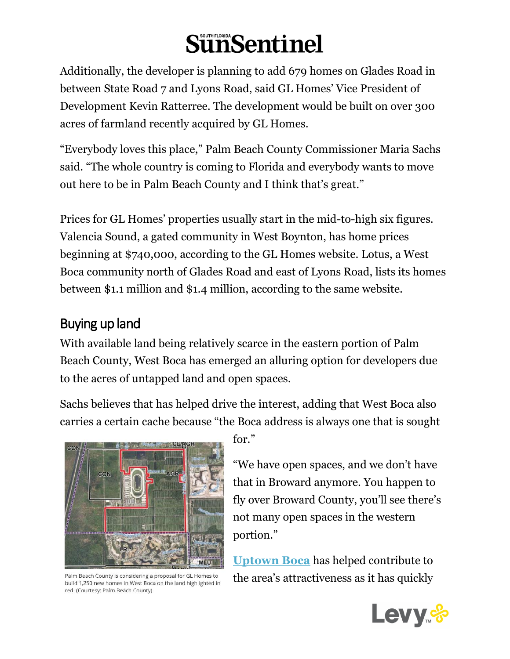Additionally, the developer is planning to add 679 homes on Glades Road in between State Road 7 and Lyons Road, said GL Homes' Vice President of Development Kevin Ratterree. The development would be built on over 300 acres of farmland recently acquired by GL Homes.

"Everybody loves this place," Palm Beach County Commissioner Maria Sachs said. "The whole country is coming to Florida and everybody wants to move out here to be in Palm Beach County and I think that's great."

Prices for GL Homes' properties usually start in the mid-to-high six figures. Valencia Sound, a gated community in West Boynton, has home prices beginning at \$740,000, according to the GL Homes website. Lotus, a West Boca community north of Glades Road and east of Lyons Road, lists its homes between \$1.1 million and \$1.4 million, according to the same website.

#### Buying up land

With available land being relatively scarce in the eastern portion of Palm Beach County, West Boca has emerged an alluring option for developers due to the acres of untapped land and open spaces.

Sachs believes that has helped drive the interest, adding that West Boca also carries a certain cache because "the Boca address is always one that is sought



Palm Beach County is considering a proposal for GL Homes to build 1,250 new homes in West Boca on the land highlighted in red. (Courtesy: Palm Beach County)

for."

"We have open spaces, and we don't have that in Broward anymore. You happen to fly over Broward County, you'll see there's not many open spaces in the western portion."

**[Uptown Boca](https://www.sun-sentinel.com/entertainment/restaurants-and-bars/fl-et-uptown-boca-raton-new-restaurants-bars-20210318-c4vhubjoqvb2ddm2dicdnfoftu-story.html)** has helped contribute to the area's attractiveness as it has quickly

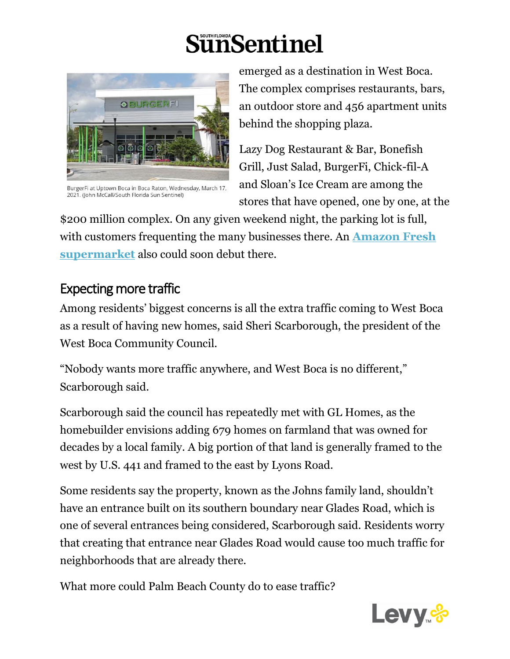

BurgerFi at Uptown Boca in Boca Raton, Wednesday, March 17, 2021. (John McCall/South Florida Sun Sentinel)

emerged as a destination in West Boca. The complex comprises restaurants, bars, an outdoor store and 456 apartment units behind the shopping plaza.

Lazy Dog Restaurant & Bar, Bonefish Grill, Just Salad, BurgerFi, Chick-fil-A and Sloan's Ice Cream are among the stores that have opened, one by one, at the

\$200 million complex. On any given weekend night, the parking lot is full, with customers frequenting the many businesses there. An **[Amazon Fresh](https://www.sun-sentinel.com/local/palm-beach/boca-raton/fl-ne-amazon-fresh-boca-20211109-ygzhpyruungn3ekwnorzutty4u-story.html)  [supermarket](https://www.sun-sentinel.com/local/palm-beach/boca-raton/fl-ne-amazon-fresh-boca-20211109-ygzhpyruungn3ekwnorzutty4u-story.html)** also could soon debut there.

#### Expecting more traffic

Among residents' biggest concerns is all the extra traffic coming to West Boca as a result of having new homes, said Sheri Scarborough, the president of the West Boca Community Council.

"Nobody wants more traffic anywhere, and West Boca is no different," Scarborough said.

Scarborough said the council has repeatedly met with GL Homes, as the homebuilder envisions adding 679 homes on farmland that was owned for decades by a local family. A big portion of that land is generally framed to the west by U.S. 441 and framed to the east by Lyons Road.

Some residents say the property, known as the Johns family land, shouldn't have an entrance built on its southern boundary near Glades Road, which is one of several entrances being considered, Scarborough said. Residents worry that creating that entrance near Glades Road would cause too much traffic for neighborhoods that are already there.

What more could Palm Beach County do to ease traffic?

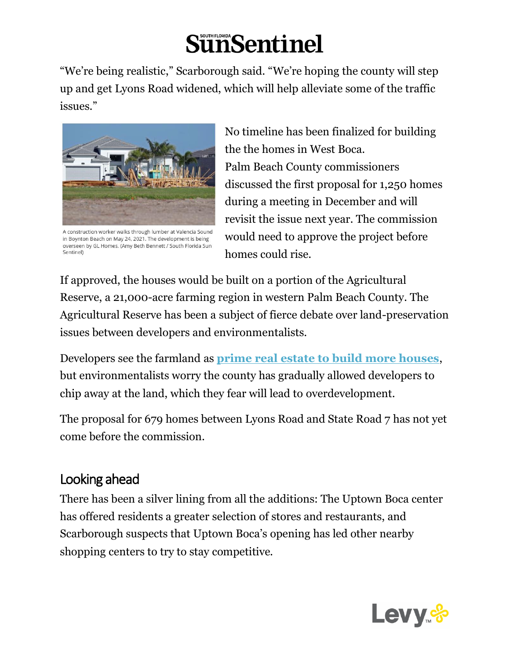"We're being realistic," Scarborough said. "We're hoping the county will step up and get Lyons Road widened, which will help alleviate some of the traffic issues."



A construction worker walks through lumber at Valencia Sound in Boynton Beach on May 24, 2021. The development is being overseen by GL Homes. (Amy Beth Bennett / South Florida Sun Sentinel)

No timeline has been finalized for building the the homes in West Boca. Palm Beach County commissioners discussed the first proposal for 1,250 homes during a meeting in December and will revisit the issue next year. The commission would need to approve the project before homes could rise.

If approved, the houses would be built on a portion of the Agricultural Reserve, a 21,000-acre farming region in western Palm Beach County. The Agricultural Reserve has been a subject of fierce debate over land-preservation issues between developers and environmentalists.

Developers see the farmland as **[prime real estate to build more houses](https://www.sun-sentinel.com/local/palm-beach/fl-ne-1000-homes-boom-ss-prem-20210404-bilrx3quofcvjdgo6d5epmjf2y-story.html)**, but environmentalists worry the county has gradually allowed developers to chip away at the land, which they fear will lead to overdevelopment.

The proposal for 679 homes between Lyons Road and State Road 7 has not yet come before the commission.

#### Looking ahead

There has been a silver lining from all the additions: The Uptown Boca center has offered residents a greater selection of stores and restaurants, and Scarborough suspects that Uptown Boca's opening has led other nearby shopping centers to try to stay competitive.